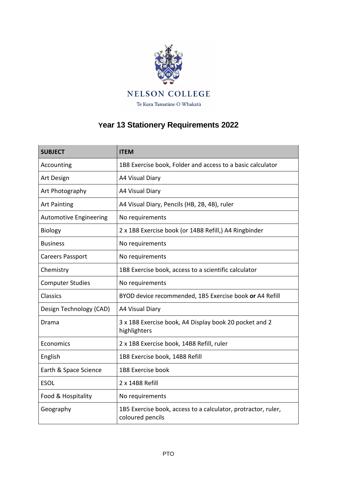

## **Year 13 Stationery Requirements 2022**

| <b>SUBJECT</b>                | <b>ITEM</b>                                                                       |
|-------------------------------|-----------------------------------------------------------------------------------|
| Accounting                    | 1B8 Exercise book, Folder and access to a basic calculator                        |
| Art Design                    | A4 Visual Diary                                                                   |
| Art Photography               | A4 Visual Diary                                                                   |
| <b>Art Painting</b>           | A4 Visual Diary, Pencils (HB, 2B, 4B), ruler                                      |
| <b>Automotive Engineering</b> | No requirements                                                                   |
| <b>Biology</b>                | 2 x 1B8 Exercise book (or 14B8 Refill,) A4 Ringbinder                             |
| <b>Business</b>               | No requirements                                                                   |
| Careers Passport              | No requirements                                                                   |
| Chemistry                     | 1B8 Exercise book, access to a scientific calculator                              |
| <b>Computer Studies</b>       | No requirements                                                                   |
| Classics                      | BYOD device recommended, 1B5 Exercise book or A4 Refill                           |
| Design Technology (CAD)       | A4 Visual Diary                                                                   |
| Drama                         | 3 x 1B8 Exercise book, A4 Display book 20 pocket and 2<br>highlighters            |
| Economics                     | 2 x 1B8 Exercise book, 14B8 Refill, ruler                                         |
| English                       | 1B8 Exercise book, 14B8 Refill                                                    |
| Earth & Space Science         | 1B8 Exercise book                                                                 |
| <b>ESOL</b>                   | 2 x 14B8 Refill                                                                   |
| Food & Hospitality            | No requirements                                                                   |
| Geography                     | 1B5 Exercise book, access to a calculator, protractor, ruler,<br>coloured pencils |